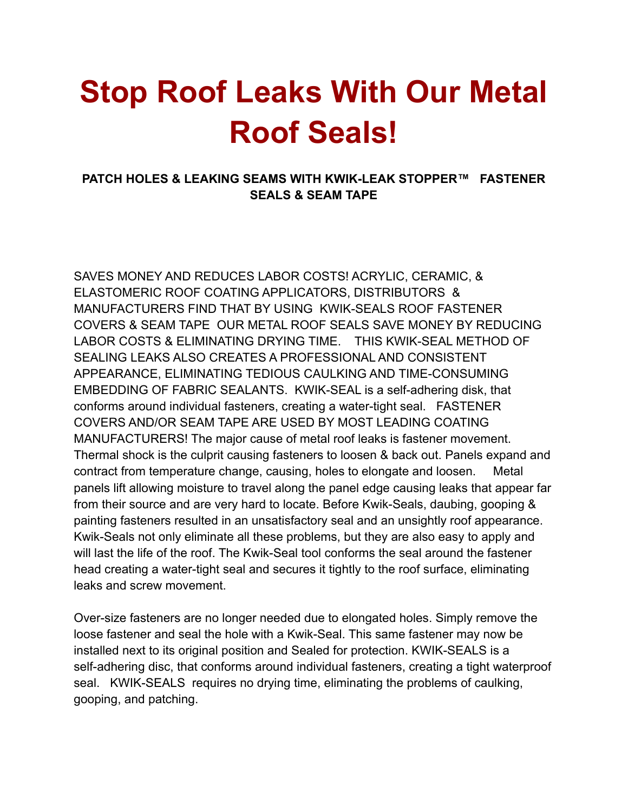# **Stop Roof Leaks With Our Metal Roof Seals!**

### **PATCH HOLES & LEAKING SEAMS WITH KWIK-LEAK STOPPER™ FASTENER SEALS & SEAM TAPE**

SAVES MONEY AND REDUCES LABOR COSTS! ACRYLIC, CERAMIC, & ELASTOMERIC ROOF COATING APPLICATORS, DISTRIBUTORS & MANUFACTURERS FIND THAT BY USING KWIK-SEALS ROOF FASTENER COVERS & SEAM TAPE OUR METAL ROOF SEALS SAVE MONEY BY REDUCING LABOR COSTS & ELIMINATING DRYING TIME. THIS KWIK-SEAL METHOD OF SEALING LEAKS ALSO CREATES A PROFESSIONAL AND CONSISTENT APPEARANCE, ELIMINATING TEDIOUS CAULKING AND TIME-CONSUMING EMBEDDING OF FABRIC SEALANTS. KWIK-SEAL is a self-adhering disk, that conforms around individual fasteners, creating a water-tight seal. FASTENER COVERS AND/OR SEAM TAPE ARE USED BY MOST LEADING COATING MANUFACTURERS! The major cause of metal roof leaks is fastener movement. Thermal shock is the culprit causing fasteners to loosen & back out. Panels expand and contract from temperature change, causing, holes to elongate and loosen. Metal panels lift allowing moisture to travel along the panel edge causing leaks that appear far from their source and are very hard to locate. Before Kwik-Seals, daubing, gooping & painting fasteners resulted in an unsatisfactory seal and an unsightly roof appearance. Kwik-Seals not only eliminate all these problems, but they are also easy to apply and will last the life of the roof. The Kwik-Seal tool conforms the seal around the fastener head creating a water-tight seal and secures it tightly to the roof surface, eliminating leaks and screw movement.

Over-size fasteners are no longer needed due to elongated holes. Simply remove the loose fastener and seal the hole with a Kwik-Seal. This same fastener may now be installed next to its original position and Sealed for protection. KWIK-SEALS is a self-adhering disc, that conforms around individual fasteners, creating a tight waterproof seal. KWIK-SEALS requires no drying time, eliminating the problems of caulking, gooping, and patching.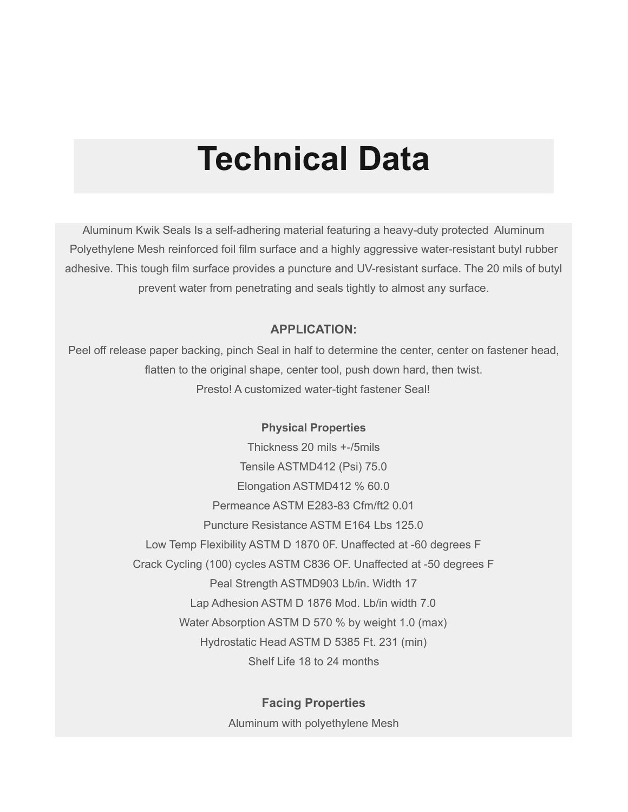# **Technical Data**

Aluminum Kwik Seals Is a self-adhering material featuring a heavy-duty protected Aluminum Polyethylene Mesh reinforced foil film surface and a highly aggressive water-resistant butyl rubber adhesive. This tough film surface provides a puncture and UV-resistant surface. The 20 mils of butyl prevent water from penetrating and seals tightly to almost any surface.

#### **APPLICATION:**

Peel off release paper backing, pinch Seal in half to determine the center, center on fastener head, flatten to the original shape, center tool, push down hard, then twist. Presto! A customized water-tight fastener Seal!

#### **Physical Properties**

Thickness 20 mils +-/5mils Tensile ASTMD412 (Psi) 75.0 Elongation ASTMD412 % 60.0 Permeance ASTM E283-83 Cfm/ft2 0.01 Puncture Resistance ASTM E164 Lbs 125.0 Low Temp Flexibility ASTM D 1870 0F. Unaffected at -60 degrees F Crack Cycling (100) cycles ASTM C836 OF. Unaffected at -50 degrees F Peal Strength ASTMD903 Lb/in. Width 17 Lap Adhesion ASTM D 1876 Mod. Lb/in width 7.0 Water Absorption ASTM D 570 % by weight 1.0 (max) Hydrostatic Head ASTM D 5385 Ft. 231 (min) Shelf Life 18 to 24 months

#### **Facing Properties**

Aluminum with polyethylene Mesh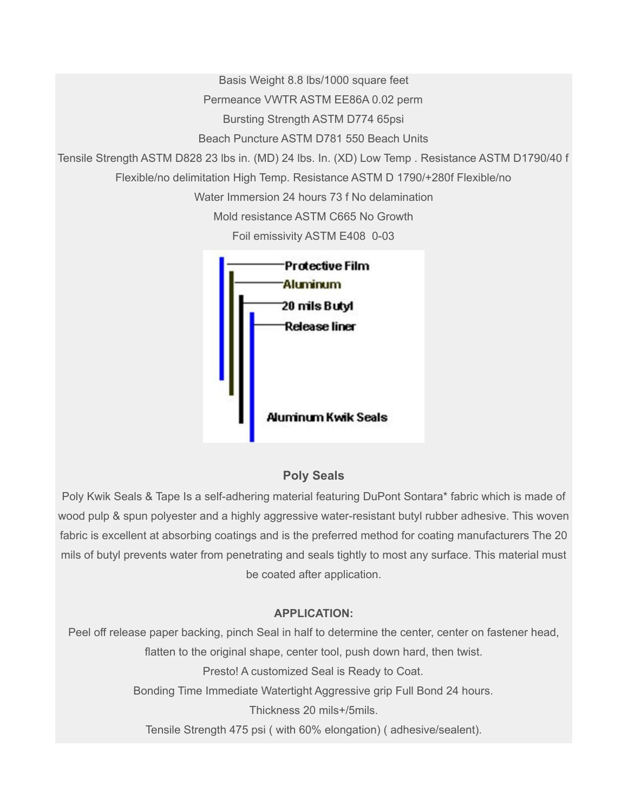Basis Weight 8.8 lbs/1000 square feet Permeance VWTR ASTM EE86A 0.02 perm Bursting Strength ASTM D774 65psi Beach Puncture ASTM D781 550 Beach Units Tensile Strength ASTM D828 23 lbs in. (MD) 24 lbs. In. (XD) Low Temp . Resistance ASTM D1790/40 f Flexible/no delimitation High Temp. Resistance ASTM D 1790/+280f Flexible/no Water Immersion 24 hours 73 f No delamination Mold resistance ASTM C665 No Growth Foil emissivity ASTM E408 0-03 **Protective Film** Aluminum 20 mils Butyl **Release liner** Aluminum Kwik Seals

#### **Poly Seals**

Poly Kwik Seals & Tape Is a self-adhering material featuring DuPont Sontara\* fabric which is made of wood pulp & spun polyester and a highly aggressive water-resistant butyl rubber adhesive. This woven fabric is excellent at absorbing coatings and is the preferred method for coating manufacturers The 20 mils of butyl prevents water from penetrating and seals tightly to most any surface. This material must be coated after application.

#### **APPLICATION:**

Peel off release paper backing, pinch Seal in half to determine the center, center on fastener head, flatten to the original shape, center tool, push down hard, then twist. Presto! A customized Seal is Ready to Coat. Bonding Time Immediate Watertight Aggressive grip Full Bond 24 hours. Thickness 20 mils+/5mils. Tensile Strength 475 psi ( with 60% elongation) ( adhesive/sealent).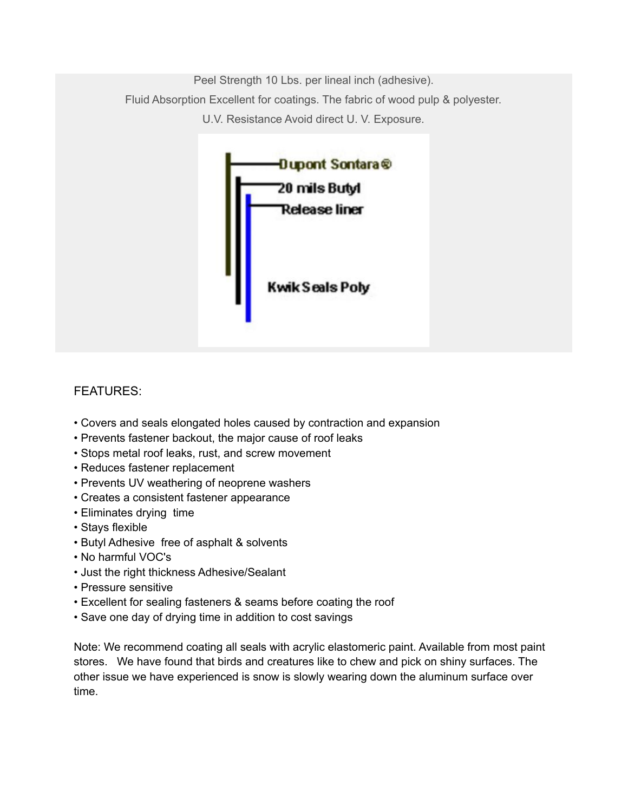Peel Strength 10 Lbs. per lineal inch (adhesive). Fluid Absorption Excellent for coatings. The fabric of wood pulp & polyester. U.V. Resistance Avoid direct U. V. Exposure. **Dupont Sontara®** 20 mils Butyl **Release liner Kwik Seals Poly** 

### FEATURES:

- Covers and seals elongated holes caused by contraction and expansion
- Prevents fastener backout, the major cause of roof leaks
- Stops metal roof leaks, rust, and screw movement
- Reduces fastener replacement
- Prevents UV weathering of neoprene washers
- Creates a consistent fastener appearance
- Eliminates drying time
- Stays flexible
- Butyl Adhesive free of asphalt & solvents
- No harmful VOC's
- Just the right thickness Adhesive/Sealant
- Pressure sensitive
- Excellent for sealing fasteners & seams before coating the roof
- Save one day of drying time in addition to cost savings

Note: We recommend coating all seals with acrylic elastomeric paint. Available from most paint stores. We have found that birds and creatures like to chew and pick on shiny surfaces. The other issue we have experienced is snow is slowly wearing down the aluminum surface over time.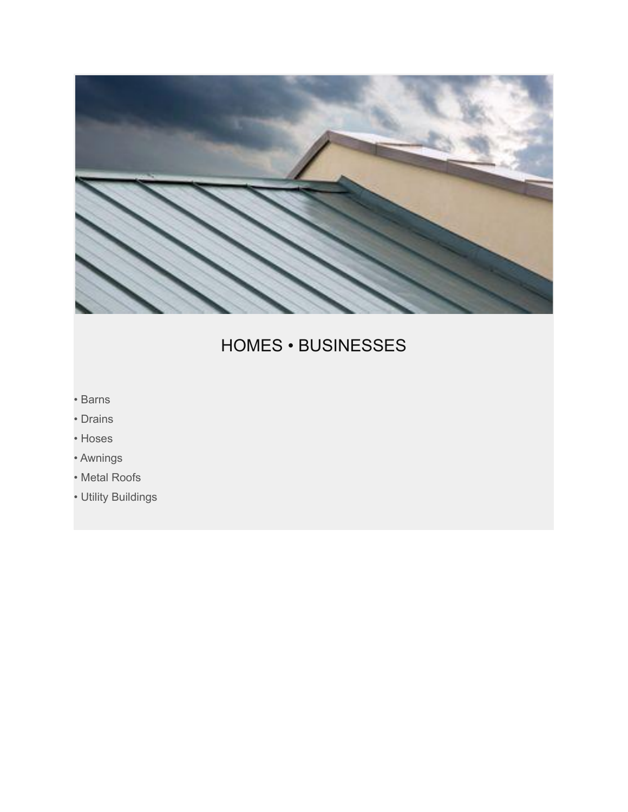

## HOMES • BUSINESSES

- Barns
- Drains
- Hoses
- Awnings
- Metal Roofs
- Utility Buildings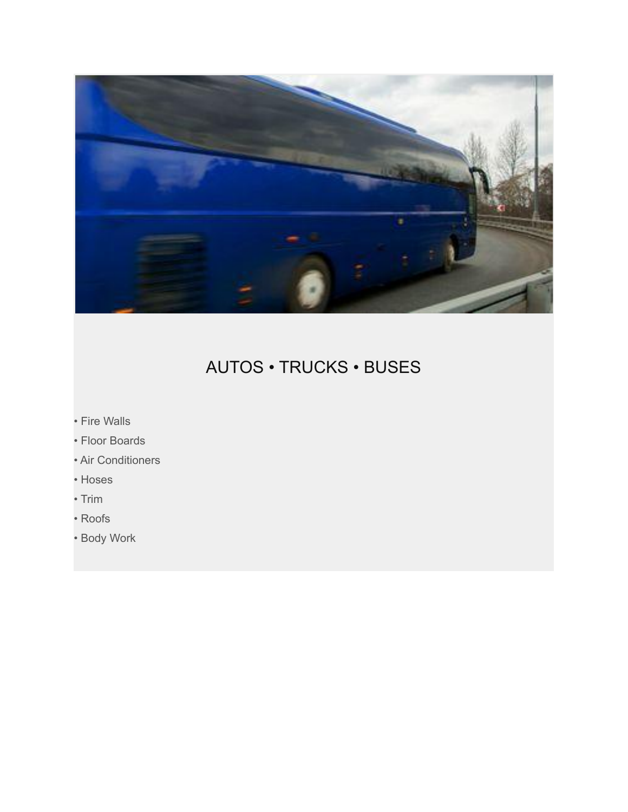

## AUTOS • TRUCKS • BUSES

- Fire Walls
- Floor Boards
- Air Conditioners
- Hoses
- Trim
- Roofs
- Body Work